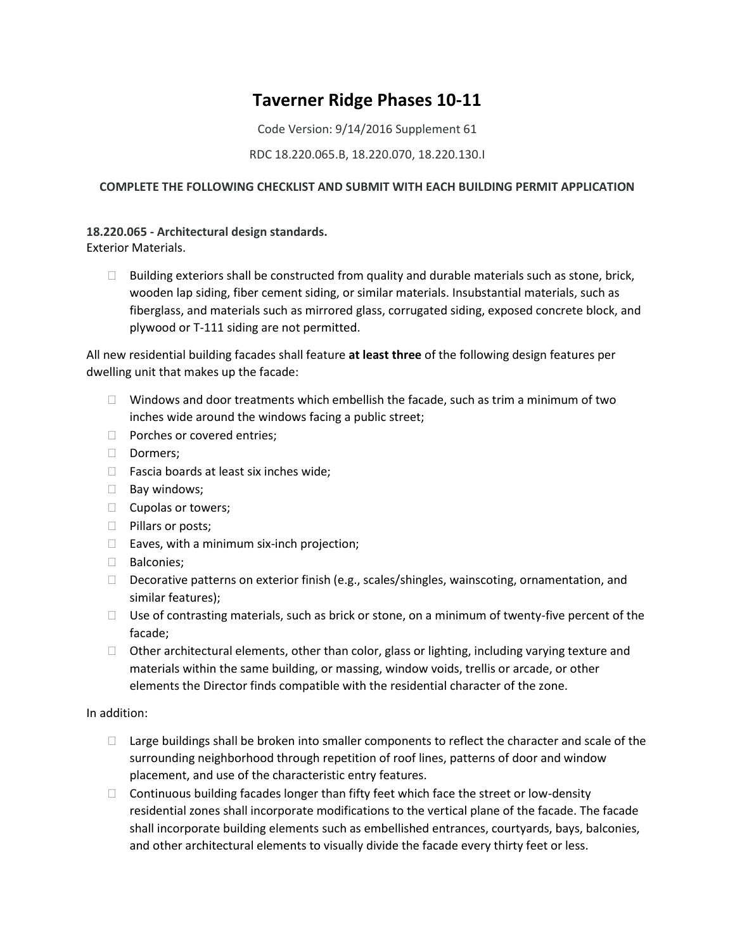# **Taverner Ridge Phases 10-11**

Code Version: 9/14/2016 Supplement 61

## RDC 18.220.065.B, 18.220.070, 18.220.130.I

## **COMPLETE THE FOLLOWING CHECKLIST AND SUBMIT WITH EACH BUILDING PERMIT APPLICATION**

**18.220.065 - Architectural design standards.** Exterior Materials.

 $\Box$  Building exteriors shall be constructed from quality and durable materials such as stone, brick, wooden lap siding, fiber cement siding, or similar materials. Insubstantial materials, such as fiberglass, and materials such as mirrored glass, corrugated siding, exposed concrete block, and plywood or T-111 siding are not permitted.

All new residential building facades shall feature **at least three** of the following design features per dwelling unit that makes up the facade:

- $\Box$  Windows and door treatments which embellish the facade, such as trim a minimum of two inches wide around the windows facing a public street;
- D Porches or covered entries;
- Dormers:
- $\Box$  Fascia boards at least six inches wide;
- **Bay windows;**
- $\Box$  Cupolas or towers;
- $\Box$  Pillars or posts;
- $\Box$  Eaves, with a minimum six-inch projection;
- **Balconies**;
- $\Box$  Decorative patterns on exterior finish (e.g., scales/shingles, wainscoting, ornamentation, and similar features);
- $\Box$  Use of contrasting materials, such as brick or stone, on a minimum of twenty-five percent of the facade;
- $\Box$  Other architectural elements, other than color, glass or lighting, including varying texture and materials within the same building, or massing, window voids, trellis or arcade, or other elements the Director finds compatible with the residential character of the zone.

## In addition:

- $\Box$  Large buildings shall be broken into smaller components to reflect the character and scale of the surrounding neighborhood through repetition of roof lines, patterns of door and window placement, and use of the characteristic entry features.
- $\Box$  Continuous building facades longer than fifty feet which face the street or low-density residential zones shall incorporate modifications to the vertical plane of the facade. The facade shall incorporate building elements such as embellished entrances, courtyards, bays, balconies, and other architectural elements to visually divide the facade every thirty feet or less.